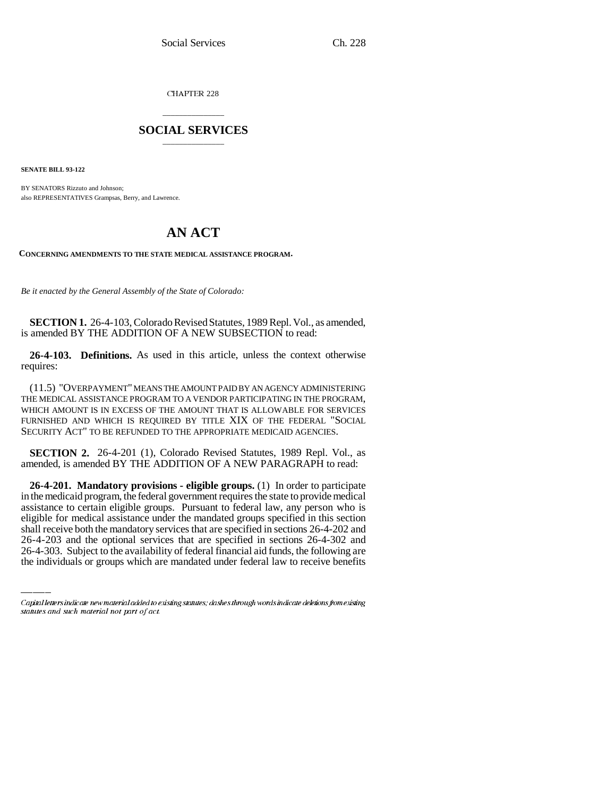CHAPTER 228

## \_\_\_\_\_\_\_\_\_\_\_\_\_\_\_ **SOCIAL SERVICES** \_\_\_\_\_\_\_\_\_\_\_\_\_\_\_

**SENATE BILL 93-122**

BY SENATORS Rizzuto and Johnson; also REPRESENTATIVES Grampsas, Berry, and Lawrence.

# **AN ACT**

**CONCERNING AMENDMENTS TO THE STATE MEDICAL ASSISTANCE PROGRAM.**

*Be it enacted by the General Assembly of the State of Colorado:*

**SECTION 1.** 26-4-103, Colorado Revised Statutes, 1989 Repl. Vol., as amended, is amended BY THE ADDITION OF A NEW SUBSECTION to read:

**26-4-103. Definitions.** As used in this article, unless the context otherwise requires:

(11.5) "OVERPAYMENT" MEANS THE AMOUNT PAID BY AN AGENCY ADMINISTERING THE MEDICAL ASSISTANCE PROGRAM TO A VENDOR PARTICIPATING IN THE PROGRAM, WHICH AMOUNT IS IN EXCESS OF THE AMOUNT THAT IS ALLOWABLE FOR SERVICES FURNISHED AND WHICH IS REQUIRED BY TITLE XIX OF THE FEDERAL "SOCIAL SECURITY ACT" TO BE REFUNDED TO THE APPROPRIATE MEDICAID AGENCIES.

**SECTION 2.** 26-4-201 (1), Colorado Revised Statutes, 1989 Repl. Vol., as amended, is amended BY THE ADDITION OF A NEW PARAGRAPH to read:

eligible for medical assistance under the mandated groups specified in this section **26-4-201. Mandatory provisions - eligible groups.** (1) In order to participate in the medicaid program, the federal government requires the state to provide medical assistance to certain eligible groups. Pursuant to federal law, any person who is shall receive both the mandatory services that are specified in sections 26-4-202 and 26-4-203 and the optional services that are specified in sections 26-4-302 and 26-4-303. Subject to the availability of federal financial aid funds, the following are the individuals or groups which are mandated under federal law to receive benefits

Capital letters indicate new material added to existing statutes; dashes through words indicate deletions from existing statutes and such material not part of act.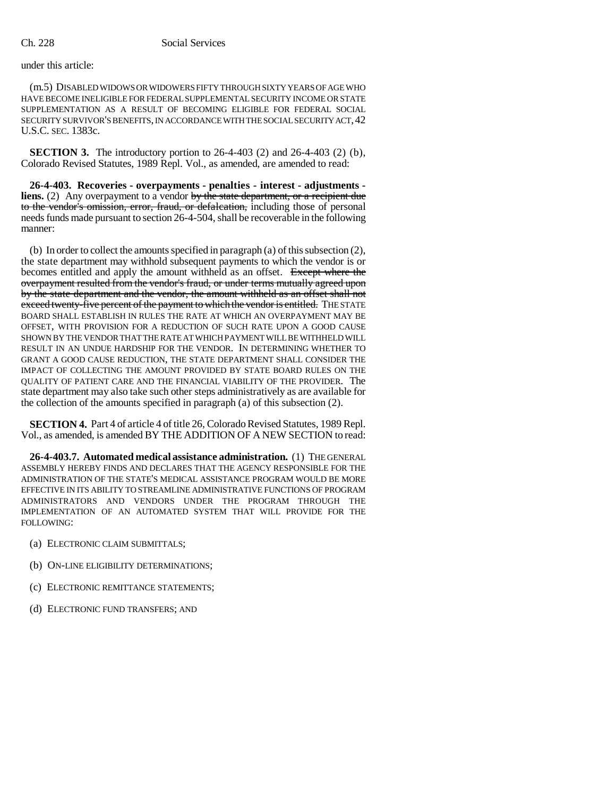under this article:

(m.5) DISABLED WIDOWS OR WIDOWERS FIFTY THROUGH SIXTY YEARS OF AGE WHO HAVE BECOME INELIGIBLE FOR FEDERAL SUPPLEMENTAL SECURITY INCOME OR STATE SUPPLEMENTATION AS A RESULT OF BECOMING ELIGIBLE FOR FEDERAL SOCIAL SECURITY SURVIVOR'S BENEFITS, IN ACCORDANCE WITH THE SOCIAL SECURITY ACT,42 U.S.C. SEC. 1383c.

**SECTION 3.** The introductory portion to 26-4-403 (2) and 26-4-403 (2) (b), Colorado Revised Statutes, 1989 Repl. Vol., as amended, are amended to read:

**26-4-403. Recoveries - overpayments - penalties - interest - adjustments liens.** (2) Any overpayment to a vendor by the state department, or a recipient due to the vendor's omission, error, fraud, or defalcation, including those of personal needs funds made pursuant to section 26-4-504, shall be recoverable in the following manner:

(b) In order to collect the amounts specified in paragraph (a) of this subsection (2), the state department may withhold subsequent payments to which the vendor is or becomes entitled and apply the amount withheld as an offset. Except where the overpayment resulted from the vendor's fraud, or under terms mutually agreed upon by the state department and the vendor, the amount withheld as an offset shall not exceed twenty-five percent of the payment to which the vendor is entitled. THE STATE BOARD SHALL ESTABLISH IN RULES THE RATE AT WHICH AN OVERPAYMENT MAY BE OFFSET, WITH PROVISION FOR A REDUCTION OF SUCH RATE UPON A GOOD CAUSE SHOWN BY THE VENDOR THAT THE RATE AT WHICH PAYMENT WILL BE WITHHELD WILL RESULT IN AN UNDUE HARDSHIP FOR THE VENDOR. IN DETERMINING WHETHER TO GRANT A GOOD CAUSE REDUCTION, THE STATE DEPARTMENT SHALL CONSIDER THE IMPACT OF COLLECTING THE AMOUNT PROVIDED BY STATE BOARD RULES ON THE QUALITY OF PATIENT CARE AND THE FINANCIAL VIABILITY OF THE PROVIDER. The state department may also take such other steps administratively as are available for the collection of the amounts specified in paragraph (a) of this subsection (2).

**SECTION 4.** Part 4 of article 4 of title 26, Colorado Revised Statutes, 1989 Repl. Vol., as amended, is amended BY THE ADDITION OF A NEW SECTION to read:

**26-4-403.7. Automated medical assistance administration.** (1) THE GENERAL ASSEMBLY HEREBY FINDS AND DECLARES THAT THE AGENCY RESPONSIBLE FOR THE ADMINISTRATION OF THE STATE'S MEDICAL ASSISTANCE PROGRAM WOULD BE MORE EFFECTIVE IN ITS ABILITY TO STREAMLINE ADMINISTRATIVE FUNCTIONS OF PROGRAM ADMINISTRATORS AND VENDORS UNDER THE PROGRAM THROUGH THE IMPLEMENTATION OF AN AUTOMATED SYSTEM THAT WILL PROVIDE FOR THE FOLLOWING:

- (a) ELECTRONIC CLAIM SUBMITTALS;
- (b) ON-LINE ELIGIBILITY DETERMINATIONS;
- (c) ELECTRONIC REMITTANCE STATEMENTS;
- (d) ELECTRONIC FUND TRANSFERS; AND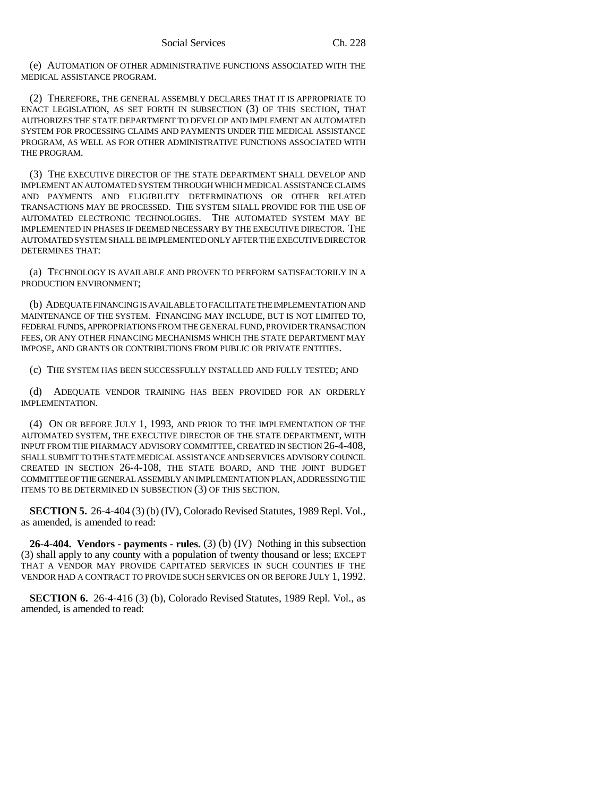(e) AUTOMATION OF OTHER ADMINISTRATIVE FUNCTIONS ASSOCIATED WITH THE MEDICAL ASSISTANCE PROGRAM.

(2) THEREFORE, THE GENERAL ASSEMBLY DECLARES THAT IT IS APPROPRIATE TO ENACT LEGISLATION, AS SET FORTH IN SUBSECTION (3) OF THIS SECTION, THAT AUTHORIZES THE STATE DEPARTMENT TO DEVELOP AND IMPLEMENT AN AUTOMATED SYSTEM FOR PROCESSING CLAIMS AND PAYMENTS UNDER THE MEDICAL ASSISTANCE PROGRAM, AS WELL AS FOR OTHER ADMINISTRATIVE FUNCTIONS ASSOCIATED WITH THE PROGRAM.

(3) THE EXECUTIVE DIRECTOR OF THE STATE DEPARTMENT SHALL DEVELOP AND IMPLEMENT AN AUTOMATED SYSTEM THROUGH WHICH MEDICAL ASSISTANCE CLAIMS AND PAYMENTS AND ELIGIBILITY DETERMINATIONS OR OTHER RELATED TRANSACTIONS MAY BE PROCESSED. THE SYSTEM SHALL PROVIDE FOR THE USE OF AUTOMATED ELECTRONIC TECHNOLOGIES. THE AUTOMATED SYSTEM MAY BE IMPLEMENTED IN PHASES IF DEEMED NECESSARY BY THE EXECUTIVE DIRECTOR. THE AUTOMATED SYSTEM SHALL BE IMPLEMENTED ONLY AFTER THE EXECUTIVE DIRECTOR DETERMINES THAT:

(a) TECHNOLOGY IS AVAILABLE AND PROVEN TO PERFORM SATISFACTORILY IN A PRODUCTION ENVIRONMENT;

(b) ADEQUATE FINANCING IS AVAILABLE TO FACILITATE THE IMPLEMENTATION AND MAINTENANCE OF THE SYSTEM. FINANCING MAY INCLUDE, BUT IS NOT LIMITED TO, FEDERAL FUNDS, APPROPRIATIONS FROM THE GENERAL FUND, PROVIDER TRANSACTION FEES, OR ANY OTHER FINANCING MECHANISMS WHICH THE STATE DEPARTMENT MAY IMPOSE, AND GRANTS OR CONTRIBUTIONS FROM PUBLIC OR PRIVATE ENTITIES.

(c) THE SYSTEM HAS BEEN SUCCESSFULLY INSTALLED AND FULLY TESTED; AND

(d) ADEQUATE VENDOR TRAINING HAS BEEN PROVIDED FOR AN ORDERLY IMPLEMENTATION.

(4) ON OR BEFORE JULY 1, 1993, AND PRIOR TO THE IMPLEMENTATION OF THE AUTOMATED SYSTEM, THE EXECUTIVE DIRECTOR OF THE STATE DEPARTMENT, WITH INPUT FROM THE PHARMACY ADVISORY COMMITTEE, CREATED IN SECTION 26-4-408, SHALL SUBMIT TO THE STATE MEDICAL ASSISTANCE AND SERVICES ADVISORY COUNCIL CREATED IN SECTION 26-4-108, THE STATE BOARD, AND THE JOINT BUDGET COMMITTEE OF THE GENERAL ASSEMBLY AN IMPLEMENTATION PLAN, ADDRESSING THE ITEMS TO BE DETERMINED IN SUBSECTION (3) OF THIS SECTION.

**SECTION 5.** 26-4-404 (3) (b) (IV), Colorado Revised Statutes, 1989 Repl. Vol., as amended, is amended to read:

**26-4-404. Vendors - payments - rules.** (3) (b) (IV) Nothing in this subsection (3) shall apply to any county with a population of twenty thousand or less; EXCEPT THAT A VENDOR MAY PROVIDE CAPITATED SERVICES IN SUCH COUNTIES IF THE VENDOR HAD A CONTRACT TO PROVIDE SUCH SERVICES ON OR BEFORE JULY 1, 1992.

**SECTION 6.** 26-4-416 (3) (b), Colorado Revised Statutes, 1989 Repl. Vol., as amended, is amended to read: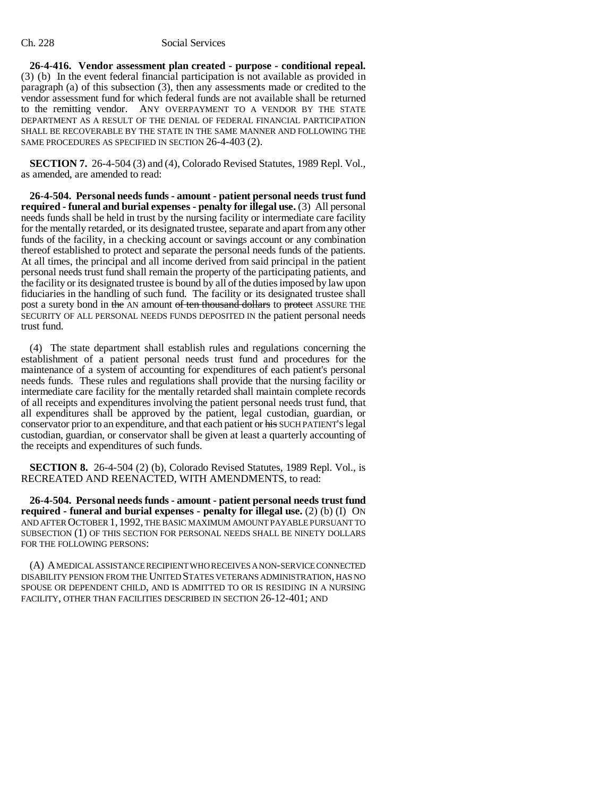### Ch. 228 Social Services

**26-4-416. Vendor assessment plan created - purpose - conditional repeal.** (3) (b) In the event federal financial participation is not available as provided in paragraph (a) of this subsection (3), then any assessments made or credited to the vendor assessment fund for which federal funds are not available shall be returned to the remitting vendor. ANY OVERPAYMENT TO A VENDOR BY THE STATE DEPARTMENT AS A RESULT OF THE DENIAL OF FEDERAL FINANCIAL PARTICIPATION SHALL BE RECOVERABLE BY THE STATE IN THE SAME MANNER AND FOLLOWING THE SAME PROCEDURES AS SPECIFIED IN SECTION 26-4-403 (2).

**SECTION 7.** 26-4-504 (3) and (4), Colorado Revised Statutes, 1989 Repl. Vol., as amended, are amended to read:

**26-4-504. Personal needs funds - amount - patient personal needs trust fund required - funeral and burial expenses - penalty for illegal use.** (3) All personal needs funds shall be held in trust by the nursing facility or intermediate care facility for the mentally retarded, or its designated trustee, separate and apart from any other funds of the facility, in a checking account or savings account or any combination thereof established to protect and separate the personal needs funds of the patients. At all times, the principal and all income derived from said principal in the patient personal needs trust fund shall remain the property of the participating patients, and the facility or its designated trustee is bound by all of the duties imposed by law upon fiduciaries in the handling of such fund. The facility or its designated trustee shall post a surety bond in the AN amount of ten thousand dollars to protect ASSURE THE SECURITY OF ALL PERSONAL NEEDS FUNDS DEPOSITED IN the patient personal needs trust fund.

(4) The state department shall establish rules and regulations concerning the establishment of a patient personal needs trust fund and procedures for the maintenance of a system of accounting for expenditures of each patient's personal needs funds. These rules and regulations shall provide that the nursing facility or intermediate care facility for the mentally retarded shall maintain complete records of all receipts and expenditures involving the patient personal needs trust fund, that all expenditures shall be approved by the patient, legal custodian, guardian, or conservator prior to an expenditure, and that each patient or his SUCH PATIENT'S legal custodian, guardian, or conservator shall be given at least a quarterly accounting of the receipts and expenditures of such funds.

**SECTION 8.** 26-4-504 (2) (b), Colorado Revised Statutes, 1989 Repl. Vol., is RECREATED AND REENACTED, WITH AMENDMENTS, to read:

**26-4-504. Personal needs funds - amount - patient personal needs trust fund required - funeral and burial expenses - penalty for illegal use.** (2) (b) (I) ON AND AFTER OCTOBER 1, 1992, THE BASIC MAXIMUM AMOUNT PAYABLE PURSUANT TO SUBSECTION (1) OF THIS SECTION FOR PERSONAL NEEDS SHALL BE NINETY DOLLARS FOR THE FOLLOWING PERSONS:

(A) A MEDICAL ASSISTANCE RECIPIENT WHO RECEIVES A NON-SERVICE CONNECTED DISABILITY PENSION FROM THE UNITED STATES VETERANS ADMINISTRATION, HAS NO SPOUSE OR DEPENDENT CHILD, AND IS ADMITTED TO OR IS RESIDING IN A NURSING FACILITY, OTHER THAN FACILITIES DESCRIBED IN SECTION 26-12-401; AND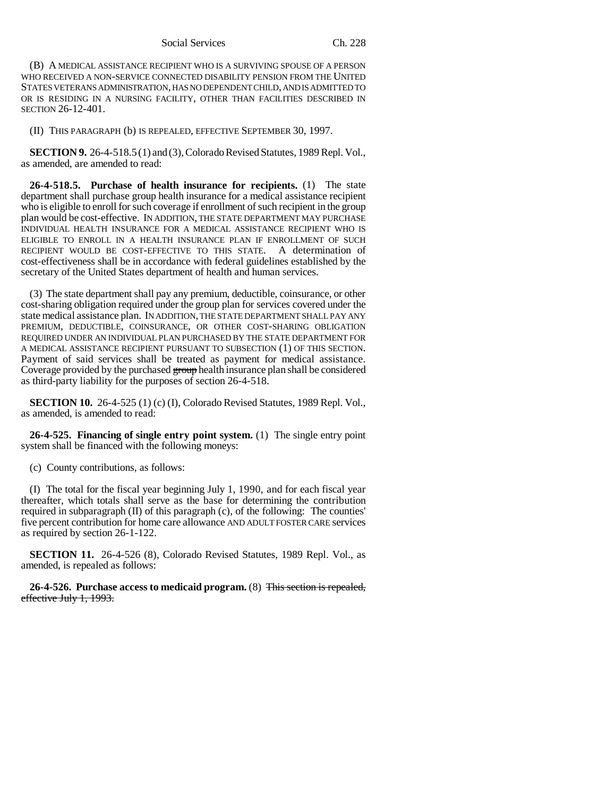Social Services Ch. 228

(B) A MEDICAL ASSISTANCE RECIPIENT WHO IS A SURVIVING SPOUSE OF A PERSON WHO RECEIVED A NON-SERVICE CONNECTED DISABILITY PENSION FROM THE UNITED STATES VETERANS ADMINISTRATION, HAS NO DEPENDENT CHILD, AND IS ADMITTED TO OR IS RESIDING IN A NURSING FACILITY, OTHER THAN FACILITIES DESCRIBED IN SECTION 26-12-401.

(II) THIS PARAGRAPH (b) IS REPEALED, EFFECTIVE SEPTEMBER 30, 1997.

**SECTION 9.** 26-4-518.5 (1) and (3), Colorado Revised Statutes, 1989 Repl. Vol., as amended, are amended to read:

**26-4-518.5. Purchase of health insurance for recipients.** (1) The state department shall purchase group health insurance for a medical assistance recipient who is eligible to enroll for such coverage if enrollment of such recipient in the group plan would be cost-effective. IN ADDITION, THE STATE DEPARTMENT MAY PURCHASE INDIVIDUAL HEALTH INSURANCE FOR A MEDICAL ASSISTANCE RECIPIENT WHO IS ELIGIBLE TO ENROLL IN A HEALTH INSURANCE PLAN IF ENROLLMENT OF SUCH RECIPIENT WOULD BE COST-EFFECTIVE TO THIS STATE. A determination of cost-effectiveness shall be in accordance with federal guidelines established by the secretary of the United States department of health and human services.

(3) The state department shall pay any premium, deductible, coinsurance, or other cost-sharing obligation required under the group plan for services covered under the state medical assistance plan. IN ADDITION, THE STATE DEPARTMENT SHALL PAY ANY PREMIUM, DEDUCTIBLE, COINSURANCE, OR OTHER COST-SHARING OBLIGATION REQUIRED UNDER AN INDIVIDUAL PLAN PURCHASED BY THE STATE DEPARTMENT FOR A MEDICAL ASSISTANCE RECIPIENT PURSUANT TO SUBSECTION (1) OF THIS SECTION. Payment of said services shall be treated as payment for medical assistance. Coverage provided by the purchased group health insurance plan shall be considered as third-party liability for the purposes of section 26-4-518.

**SECTION 10.** 26-4-525 (1) (c) (I), Colorado Revised Statutes, 1989 Repl. Vol., as amended, is amended to read:

**26-4-525. Financing of single entry point system.** (1) The single entry point system shall be financed with the following moneys:

(c) County contributions, as follows:

(I) The total for the fiscal year beginning July 1, 1990, and for each fiscal year thereafter, which totals shall serve as the base for determining the contribution required in subparagraph (II) of this paragraph (c), of the following: The counties' five percent contribution for home care allowance AND ADULT FOSTER CARE services as required by section 26-1-122.

**SECTION 11.** 26-4-526 (8), Colorado Revised Statutes, 1989 Repl. Vol., as amended, is repealed as follows:

**26-4-526. Purchase access to medicaid program.** (8) This section is repealed, effective July 1, 1993.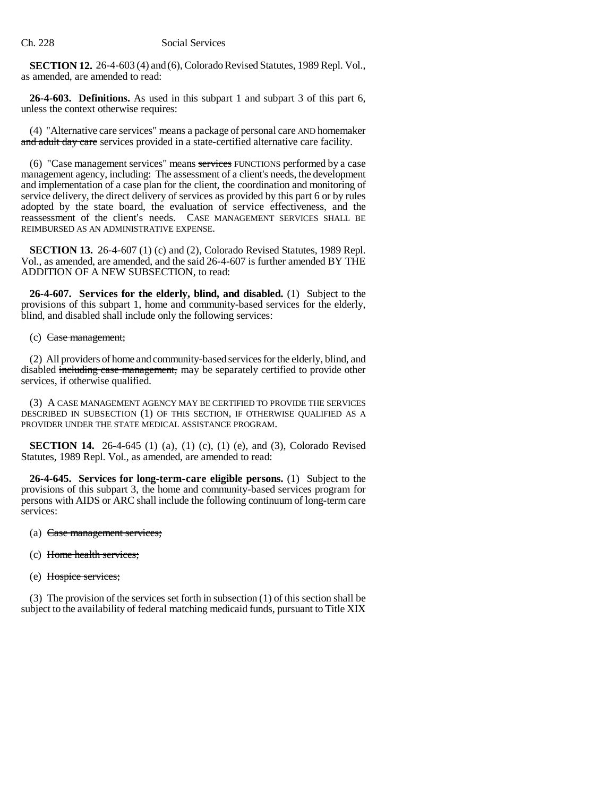**SECTION 12.** 26-4-603 (4) and (6), Colorado Revised Statutes, 1989 Repl. Vol., as amended, are amended to read:

**26-4-603. Definitions.** As used in this subpart 1 and subpart 3 of this part 6, unless the context otherwise requires:

(4) "Alternative care services" means a package of personal care AND homemaker and adult day care services provided in a state-certified alternative care facility.

(6) "Case management services" means services FUNCTIONS performed by a case management agency, including: The assessment of a client's needs, the development and implementation of a case plan for the client, the coordination and monitoring of service delivery, the direct delivery of services as provided by this part 6 or by rules adopted by the state board, the evaluation of service effectiveness, and the reassessment of the client's needs. CASE MANAGEMENT SERVICES SHALL BE REIMBURSED AS AN ADMINISTRATIVE EXPENSE.

**SECTION 13.** 26-4-607 (1) (c) and (2), Colorado Revised Statutes, 1989 Repl. Vol., as amended, are amended, and the said 26-4-607 is further amended BY THE ADDITION OF A NEW SUBSECTION, to read:

**26-4-607. Services for the elderly, blind, and disabled.** (1) Subject to the provisions of this subpart 1, home and community-based services for the elderly, blind, and disabled shall include only the following services:

## (c) Case management;

(2) All providers of home and community-based services for the elderly, blind, and disabled including case management, may be separately certified to provide other services, if otherwise qualified.

(3) A CASE MANAGEMENT AGENCY MAY BE CERTIFIED TO PROVIDE THE SERVICES DESCRIBED IN SUBSECTION (1) OF THIS SECTION, IF OTHERWISE QUALIFIED AS A PROVIDER UNDER THE STATE MEDICAL ASSISTANCE PROGRAM.

**SECTION 14.** 26-4-645 (1) (a), (1) (c), (1) (e), and (3), Colorado Revised Statutes, 1989 Repl. Vol., as amended, are amended to read:

**26-4-645. Services for long-term-care eligible persons.** (1) Subject to the provisions of this subpart 3, the home and community-based services program for persons with AIDS or ARC shall include the following continuum of long-term care services:

- (a) Case management services;
- (c) Home health services;
- (e) Hospice services;

(3) The provision of the services set forth in subsection (1) of this section shall be subject to the availability of federal matching medicaid funds, pursuant to Title XIX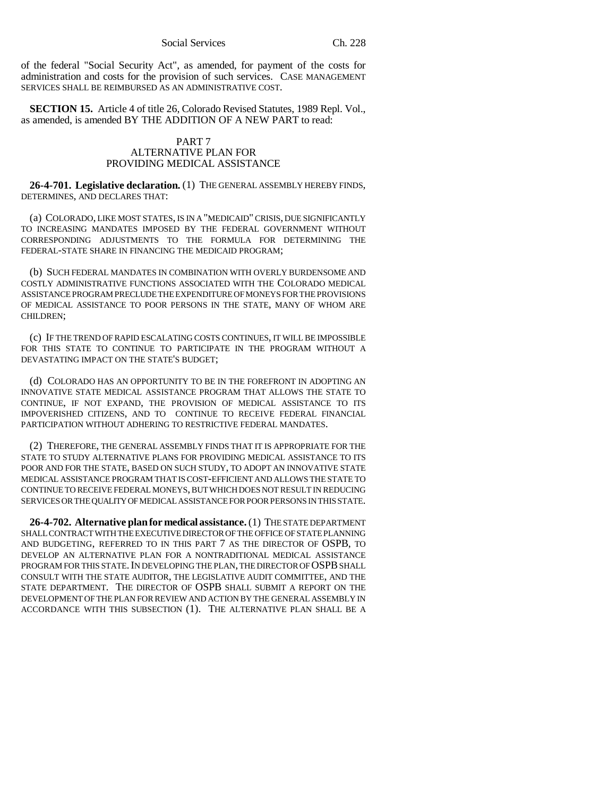Social Services Ch. 228

of the federal "Social Security Act", as amended, for payment of the costs for administration and costs for the provision of such services. CASE MANAGEMENT SERVICES SHALL BE REIMBURSED AS AN ADMINISTRATIVE COST.

**SECTION 15.** Article 4 of title 26, Colorado Revised Statutes, 1989 Repl. Vol., as amended, is amended BY THE ADDITION OF A NEW PART to read:

## PART 7 ALTERNATIVE PLAN FOR PROVIDING MEDICAL ASSISTANCE

**26-4-701. Legislative declaration.** (1) THE GENERAL ASSEMBLY HEREBY FINDS, DETERMINES, AND DECLARES THAT:

(a) COLORADO, LIKE MOST STATES, IS IN A "MEDICAID" CRISIS, DUE SIGNIFICANTLY TO INCREASING MANDATES IMPOSED BY THE FEDERAL GOVERNMENT WITHOUT CORRESPONDING ADJUSTMENTS TO THE FORMULA FOR DETERMINING THE FEDERAL-STATE SHARE IN FINANCING THE MEDICAID PROGRAM;

(b) SUCH FEDERAL MANDATES IN COMBINATION WITH OVERLY BURDENSOME AND COSTLY ADMINISTRATIVE FUNCTIONS ASSOCIATED WITH THE COLORADO MEDICAL ASSISTANCE PROGRAM PRECLUDE THE EXPENDITURE OF MONEYS FOR THE PROVISIONS OF MEDICAL ASSISTANCE TO POOR PERSONS IN THE STATE, MANY OF WHOM ARE CHILDREN;

(c) IF THE TREND OF RAPID ESCALATING COSTS CONTINUES, IT WILL BE IMPOSSIBLE FOR THIS STATE TO CONTINUE TO PARTICIPATE IN THE PROGRAM WITHOUT A DEVASTATING IMPACT ON THE STATE'S BUDGET;

(d) COLORADO HAS AN OPPORTUNITY TO BE IN THE FOREFRONT IN ADOPTING AN INNOVATIVE STATE MEDICAL ASSISTANCE PROGRAM THAT ALLOWS THE STATE TO CONTINUE, IF NOT EXPAND, THE PROVISION OF MEDICAL ASSISTANCE TO ITS IMPOVERISHED CITIZENS, AND TO CONTINUE TO RECEIVE FEDERAL FINANCIAL PARTICIPATION WITHOUT ADHERING TO RESTRICTIVE FEDERAL MANDATES.

(2) THEREFORE, THE GENERAL ASSEMBLY FINDS THAT IT IS APPROPRIATE FOR THE STATE TO STUDY ALTERNATIVE PLANS FOR PROVIDING MEDICAL ASSISTANCE TO ITS POOR AND FOR THE STATE, BASED ON SUCH STUDY, TO ADOPT AN INNOVATIVE STATE MEDICAL ASSISTANCE PROGRAM THAT IS COST-EFFICIENT AND ALLOWS THE STATE TO CONTINUE TO RECEIVE FEDERAL MONEYS, BUT WHICH DOES NOT RESULT IN REDUCING SERVICES OR THE QUALITY OF MEDICAL ASSISTANCE FOR POOR PERSONS IN THIS STATE.

**26-4-702. Alternative plan for medical assistance.** (1) THE STATE DEPARTMENT SHALL CONTRACT WITH THE EXECUTIVE DIRECTOR OF THE OFFICE OF STATE PLANNING AND BUDGETING, REFERRED TO IN THIS PART 7 AS THE DIRECTOR OF OSPB, TO DEVELOP AN ALTERNATIVE PLAN FOR A NONTRADITIONAL MEDICAL ASSISTANCE PROGRAM FOR THIS STATE. IN DEVELOPING THE PLAN, THE DIRECTOR OF OSPB SHALL CONSULT WITH THE STATE AUDITOR, THE LEGISLATIVE AUDIT COMMITTEE, AND THE STATE DEPARTMENT. THE DIRECTOR OF OSPB SHALL SUBMIT A REPORT ON THE DEVELOPMENT OF THE PLAN FOR REVIEW AND ACTION BY THE GENERAL ASSEMBLY IN ACCORDANCE WITH THIS SUBSECTION (1). THE ALTERNATIVE PLAN SHALL BE A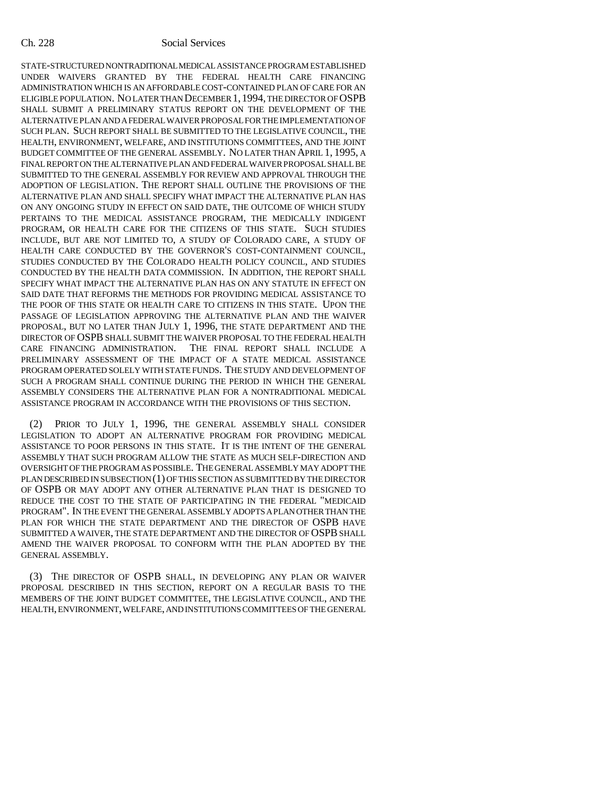#### Ch. 228 Social Services

STATE-STRUCTURED NONTRADITIONAL MEDICAL ASSISTANCE PROGRAM ESTABLISHED UNDER WAIVERS GRANTED BY THE FEDERAL HEALTH CARE FINANCING ADMINISTRATION WHICH IS AN AFFORDABLE COST-CONTAINED PLAN OF CARE FOR AN ELIGIBLE POPULATION. NO LATER THAN DECEMBER 1,1994, THE DIRECTOR OF OSPB SHALL SUBMIT A PRELIMINARY STATUS REPORT ON THE DEVELOPMENT OF THE ALTERNATIVE PLAN AND A FEDERAL WAIVER PROPOSAL FOR THE IMPLEMENTATION OF SUCH PLAN. SUCH REPORT SHALL BE SUBMITTED TO THE LEGISLATIVE COUNCIL, THE HEALTH, ENVIRONMENT, WELFARE, AND INSTITUTIONS COMMITTEES, AND THE JOINT BUDGET COMMITTEE OF THE GENERAL ASSEMBLY. NO LATER THAN APRIL 1, 1995, A FINAL REPORT ON THE ALTERNATIVE PLAN AND FEDERAL WAIVER PROPOSAL SHALL BE SUBMITTED TO THE GENERAL ASSEMBLY FOR REVIEW AND APPROVAL THROUGH THE ADOPTION OF LEGISLATION. THE REPORT SHALL OUTLINE THE PROVISIONS OF THE ALTERNATIVE PLAN AND SHALL SPECIFY WHAT IMPACT THE ALTERNATIVE PLAN HAS ON ANY ONGOING STUDY IN EFFECT ON SAID DATE, THE OUTCOME OF WHICH STUDY PERTAINS TO THE MEDICAL ASSISTANCE PROGRAM, THE MEDICALLY INDIGENT PROGRAM, OR HEALTH CARE FOR THE CITIZENS OF THIS STATE. SUCH STUDIES INCLUDE, BUT ARE NOT LIMITED TO, A STUDY OF COLORADO CARE, A STUDY OF HEALTH CARE CONDUCTED BY THE GOVERNOR'S COST-CONTAINMENT COUNCIL, STUDIES CONDUCTED BY THE COLORADO HEALTH POLICY COUNCIL, AND STUDIES CONDUCTED BY THE HEALTH DATA COMMISSION. IN ADDITION, THE REPORT SHALL SPECIFY WHAT IMPACT THE ALTERNATIVE PLAN HAS ON ANY STATUTE IN EFFECT ON SAID DATE THAT REFORMS THE METHODS FOR PROVIDING MEDICAL ASSISTANCE TO THE POOR OF THIS STATE OR HEALTH CARE TO CITIZENS IN THIS STATE. UPON THE PASSAGE OF LEGISLATION APPROVING THE ALTERNATIVE PLAN AND THE WAIVER PROPOSAL, BUT NO LATER THAN JULY 1, 1996, THE STATE DEPARTMENT AND THE DIRECTOR OF OSPB SHALL SUBMIT THE WAIVER PROPOSAL TO THE FEDERAL HEALTH CARE FINANCING ADMINISTRATION. THE FINAL REPORT SHALL INCLUDE A PRELIMINARY ASSESSMENT OF THE IMPACT OF A STATE MEDICAL ASSISTANCE PROGRAM OPERATED SOLELY WITH STATE FUNDS. THE STUDY AND DEVELOPMENT OF SUCH A PROGRAM SHALL CONTINUE DURING THE PERIOD IN WHICH THE GENERAL ASSEMBLY CONSIDERS THE ALTERNATIVE PLAN FOR A NONTRADITIONAL MEDICAL ASSISTANCE PROGRAM IN ACCORDANCE WITH THE PROVISIONS OF THIS SECTION.

(2) PRIOR TO JULY 1, 1996, THE GENERAL ASSEMBLY SHALL CONSIDER LEGISLATION TO ADOPT AN ALTERNATIVE PROGRAM FOR PROVIDING MEDICAL ASSISTANCE TO POOR PERSONS IN THIS STATE. IT IS THE INTENT OF THE GENERAL ASSEMBLY THAT SUCH PROGRAM ALLOW THE STATE AS MUCH SELF-DIRECTION AND OVERSIGHT OF THE PROGRAM AS POSSIBLE. THE GENERAL ASSEMBLY MAY ADOPT THE PLAN DESCRIBED IN SUBSECTION (1) OF THIS SECTION AS SUBMITTED BY THE DIRECTOR OF OSPB OR MAY ADOPT ANY OTHER ALTERNATIVE PLAN THAT IS DESIGNED TO REDUCE THE COST TO THE STATE OF PARTICIPATING IN THE FEDERAL "MEDICAID PROGRAM". IN THE EVENT THE GENERAL ASSEMBLY ADOPTS A PLAN OTHER THAN THE PLAN FOR WHICH THE STATE DEPARTMENT AND THE DIRECTOR OF OSPB HAVE SUBMITTED A WAIVER, THE STATE DEPARTMENT AND THE DIRECTOR OF OSPB SHALL AMEND THE WAIVER PROPOSAL TO CONFORM WITH THE PLAN ADOPTED BY THE GENERAL ASSEMBLY.

(3) THE DIRECTOR OF OSPB SHALL, IN DEVELOPING ANY PLAN OR WAIVER PROPOSAL DESCRIBED IN THIS SECTION, REPORT ON A REGULAR BASIS TO THE MEMBERS OF THE JOINT BUDGET COMMITTEE, THE LEGISLATIVE COUNCIL, AND THE HEALTH, ENVIRONMENT, WELFARE, AND INSTITUTIONS COMMITTEES OF THE GENERAL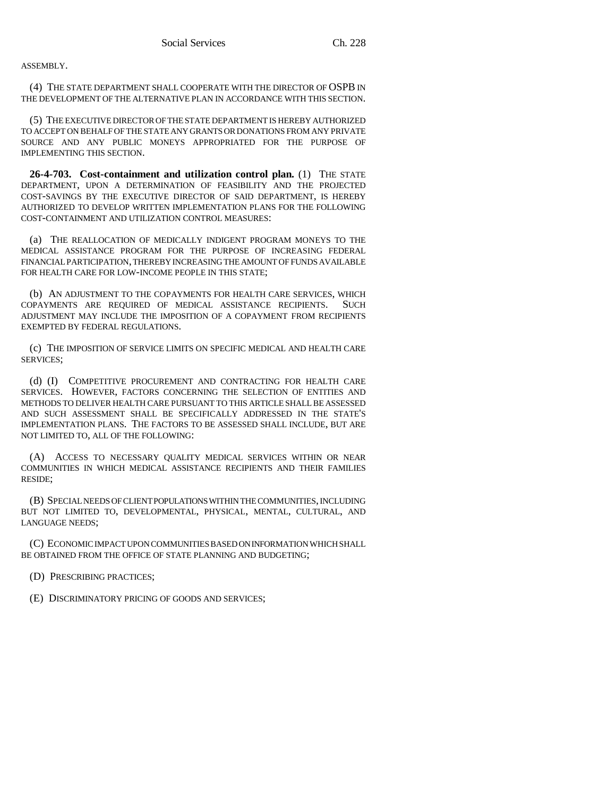ASSEMBLY.

(4) THE STATE DEPARTMENT SHALL COOPERATE WITH THE DIRECTOR OF OSPB IN THE DEVELOPMENT OF THE ALTERNATIVE PLAN IN ACCORDANCE WITH THIS SECTION.

(5) THE EXECUTIVE DIRECTOR OF THE STATE DEPARTMENT IS HEREBY AUTHORIZED TO ACCEPT ON BEHALF OF THE STATE ANY GRANTS OR DONATIONS FROM ANY PRIVATE SOURCE AND ANY PUBLIC MONEYS APPROPRIATED FOR THE PURPOSE OF IMPLEMENTING THIS SECTION.

**26-4-703. Cost-containment and utilization control plan.** (1) THE STATE DEPARTMENT, UPON A DETERMINATION OF FEASIBILITY AND THE PROJECTED COST-SAVINGS BY THE EXECUTIVE DIRECTOR OF SAID DEPARTMENT, IS HEREBY AUTHORIZED TO DEVELOP WRITTEN IMPLEMENTATION PLANS FOR THE FOLLOWING COST-CONTAINMENT AND UTILIZATION CONTROL MEASURES:

(a) THE REALLOCATION OF MEDICALLY INDIGENT PROGRAM MONEYS TO THE MEDICAL ASSISTANCE PROGRAM FOR THE PURPOSE OF INCREASING FEDERAL FINANCIAL PARTICIPATION, THEREBY INCREASING THE AMOUNT OF FUNDS AVAILABLE FOR HEALTH CARE FOR LOW-INCOME PEOPLE IN THIS STATE;

(b) AN ADJUSTMENT TO THE COPAYMENTS FOR HEALTH CARE SERVICES, WHICH COPAYMENTS ARE REQUIRED OF MEDICAL ASSISTANCE RECIPIENTS. SUCH ADJUSTMENT MAY INCLUDE THE IMPOSITION OF A COPAYMENT FROM RECIPIENTS EXEMPTED BY FEDERAL REGULATIONS.

(c) THE IMPOSITION OF SERVICE LIMITS ON SPECIFIC MEDICAL AND HEALTH CARE SERVICES;

(d) (I) COMPETITIVE PROCUREMENT AND CONTRACTING FOR HEALTH CARE SERVICES. HOWEVER, FACTORS CONCERNING THE SELECTION OF ENTITIES AND METHODS TO DELIVER HEALTH CARE PURSUANT TO THIS ARTICLE SHALL BE ASSESSED AND SUCH ASSESSMENT SHALL BE SPECIFICALLY ADDRESSED IN THE STATE'S IMPLEMENTATION PLANS. THE FACTORS TO BE ASSESSED SHALL INCLUDE, BUT ARE NOT LIMITED TO, ALL OF THE FOLLOWING:

(A) ACCESS TO NECESSARY QUALITY MEDICAL SERVICES WITHIN OR NEAR COMMUNITIES IN WHICH MEDICAL ASSISTANCE RECIPIENTS AND THEIR FAMILIES RESIDE;

(B) SPECIAL NEEDS OF CLIENT POPULATIONS WITHIN THE COMMUNITIES, INCLUDING BUT NOT LIMITED TO, DEVELOPMENTAL, PHYSICAL, MENTAL, CULTURAL, AND LANGUAGE NEEDS;

(C) ECONOMIC IMPACT UPON COMMUNITIES BASED ON INFORMATION WHICH SHALL BE OBTAINED FROM THE OFFICE OF STATE PLANNING AND BUDGETING;

(D) PRESCRIBING PRACTICES;

(E) DISCRIMINATORY PRICING OF GOODS AND SERVICES;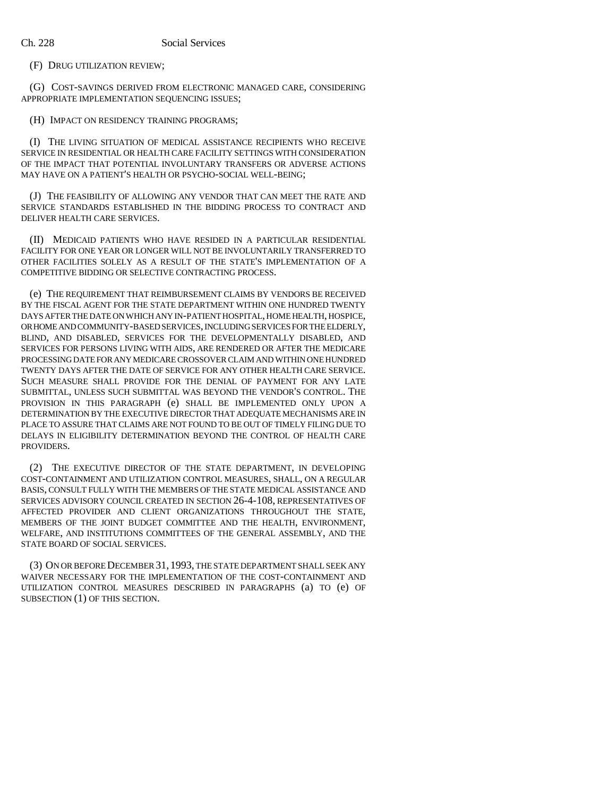(F) DRUG UTILIZATION REVIEW;

(G) COST-SAVINGS DERIVED FROM ELECTRONIC MANAGED CARE, CONSIDERING APPROPRIATE IMPLEMENTATION SEQUENCING ISSUES;

(H) IMPACT ON RESIDENCY TRAINING PROGRAMS;

(I) THE LIVING SITUATION OF MEDICAL ASSISTANCE RECIPIENTS WHO RECEIVE SERVICE IN RESIDENTIAL OR HEALTH CARE FACILITY SETTINGS WITH CONSIDERATION OF THE IMPACT THAT POTENTIAL INVOLUNTARY TRANSFERS OR ADVERSE ACTIONS MAY HAVE ON A PATIENT'S HEALTH OR PSYCHO-SOCIAL WELL-BEING;

(J) THE FEASIBILITY OF ALLOWING ANY VENDOR THAT CAN MEET THE RATE AND SERVICE STANDARDS ESTABLISHED IN THE BIDDING PROCESS TO CONTRACT AND DELIVER HEALTH CARE SERVICES.

(II) MEDICAID PATIENTS WHO HAVE RESIDED IN A PARTICULAR RESIDENTIAL FACILITY FOR ONE YEAR OR LONGER WILL NOT BE INVOLUNTARILY TRANSFERRED TO OTHER FACILITIES SOLELY AS A RESULT OF THE STATE'S IMPLEMENTATION OF A COMPETITIVE BIDDING OR SELECTIVE CONTRACTING PROCESS.

(e) THE REQUIREMENT THAT REIMBURSEMENT CLAIMS BY VENDORS BE RECEIVED BY THE FISCAL AGENT FOR THE STATE DEPARTMENT WITHIN ONE HUNDRED TWENTY DAYS AFTER THE DATE ON WHICH ANY IN-PATIENT HOSPITAL, HOME HEALTH, HOSPICE, OR HOME AND COMMUNITY-BASED SERVICES, INCLUDING SERVICES FOR THE ELDERLY, BLIND, AND DISABLED, SERVICES FOR THE DEVELOPMENTALLY DISABLED, AND SERVICES FOR PERSONS LIVING WITH AIDS, ARE RENDERED OR AFTER THE MEDICARE PROCESSING DATE FOR ANY MEDICARE CROSSOVER CLAIM AND WITHIN ONE HUNDRED TWENTY DAYS AFTER THE DATE OF SERVICE FOR ANY OTHER HEALTH CARE SERVICE. SUCH MEASURE SHALL PROVIDE FOR THE DENIAL OF PAYMENT FOR ANY LATE SUBMITTAL, UNLESS SUCH SUBMITTAL WAS BEYOND THE VENDOR'S CONTROL. THE PROVISION IN THIS PARAGRAPH (e) SHALL BE IMPLEMENTED ONLY UPON A DETERMINATION BY THE EXECUTIVE DIRECTOR THAT ADEQUATE MECHANISMS ARE IN PLACE TO ASSURE THAT CLAIMS ARE NOT FOUND TO BE OUT OF TIMELY FILING DUE TO DELAYS IN ELIGIBILITY DETERMINATION BEYOND THE CONTROL OF HEALTH CARE PROVIDERS.

(2) THE EXECUTIVE DIRECTOR OF THE STATE DEPARTMENT, IN DEVELOPING COST-CONTAINMENT AND UTILIZATION CONTROL MEASURES, SHALL, ON A REGULAR BASIS, CONSULT FULLY WITH THE MEMBERS OF THE STATE MEDICAL ASSISTANCE AND SERVICES ADVISORY COUNCIL CREATED IN SECTION 26-4-108, REPRESENTATIVES OF AFFECTED PROVIDER AND CLIENT ORGANIZATIONS THROUGHOUT THE STATE, MEMBERS OF THE JOINT BUDGET COMMITTEE AND THE HEALTH, ENVIRONMENT, WELFARE, AND INSTITUTIONS COMMITTEES OF THE GENERAL ASSEMBLY, AND THE STATE BOARD OF SOCIAL SERVICES.

(3) ON OR BEFORE DECEMBER 31, 1993, THE STATE DEPARTMENT SHALL SEEK ANY WAIVER NECESSARY FOR THE IMPLEMENTATION OF THE COST-CONTAINMENT AND UTILIZATION CONTROL MEASURES DESCRIBED IN PARAGRAPHS (a) TO (e) OF SUBSECTION (1) OF THIS SECTION.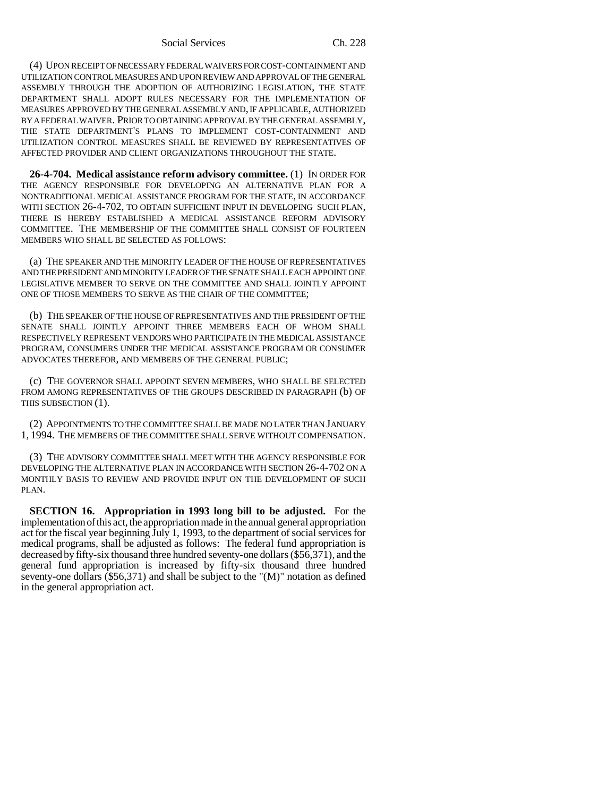#### Social Services Ch. 228

(4) UPON RECEIPT OF NECESSARY FEDERAL WAIVERS FOR COST-CONTAINMENT AND UTILIZATION CONTROL MEASURES AND UPON REVIEW AND APPROVAL OF THE GENERAL ASSEMBLY THROUGH THE ADOPTION OF AUTHORIZING LEGISLATION, THE STATE DEPARTMENT SHALL ADOPT RULES NECESSARY FOR THE IMPLEMENTATION OF MEASURES APPROVED BY THE GENERAL ASSEMBLY AND, IF APPLICABLE, AUTHORIZED BY A FEDERAL WAIVER. PRIOR TO OBTAINING APPROVAL BY THE GENERAL ASSEMBLY, THE STATE DEPARTMENT'S PLANS TO IMPLEMENT COST-CONTAINMENT AND UTILIZATION CONTROL MEASURES SHALL BE REVIEWED BY REPRESENTATIVES OF AFFECTED PROVIDER AND CLIENT ORGANIZATIONS THROUGHOUT THE STATE.

**26-4-704. Medical assistance reform advisory committee.** (1) IN ORDER FOR THE AGENCY RESPONSIBLE FOR DEVELOPING AN ALTERNATIVE PLAN FOR A NONTRADITIONAL MEDICAL ASSISTANCE PROGRAM FOR THE STATE, IN ACCORDANCE WITH SECTION 26-4-702, TO OBTAIN SUFFICIENT INPUT IN DEVELOPING SUCH PLAN, THERE IS HEREBY ESTABLISHED A MEDICAL ASSISTANCE REFORM ADVISORY COMMITTEE. THE MEMBERSHIP OF THE COMMITTEE SHALL CONSIST OF FOURTEEN MEMBERS WHO SHALL BE SELECTED AS FOLLOWS:

(a) THE SPEAKER AND THE MINORITY LEADER OF THE HOUSE OF REPRESENTATIVES AND THE PRESIDENT AND MINORITY LEADER OF THE SENATE SHALL EACH APPOINT ONE LEGISLATIVE MEMBER TO SERVE ON THE COMMITTEE AND SHALL JOINTLY APPOINT ONE OF THOSE MEMBERS TO SERVE AS THE CHAIR OF THE COMMITTEE;

(b) THE SPEAKER OF THE HOUSE OF REPRESENTATIVES AND THE PRESIDENT OF THE SENATE SHALL JOINTLY APPOINT THREE MEMBERS EACH OF WHOM SHALL RESPECTIVELY REPRESENT VENDORS WHO PARTICIPATE IN THE MEDICAL ASSISTANCE PROGRAM, CONSUMERS UNDER THE MEDICAL ASSISTANCE PROGRAM OR CONSUMER ADVOCATES THEREFOR, AND MEMBERS OF THE GENERAL PUBLIC;

(c) THE GOVERNOR SHALL APPOINT SEVEN MEMBERS, WHO SHALL BE SELECTED FROM AMONG REPRESENTATIVES OF THE GROUPS DESCRIBED IN PARAGRAPH (b) OF THIS SUBSECTION (1).

(2) APPOINTMENTS TO THE COMMITTEE SHALL BE MADE NO LATER THAN JANUARY 1, 1994. THE MEMBERS OF THE COMMITTEE SHALL SERVE WITHOUT COMPENSATION.

(3) THE ADVISORY COMMITTEE SHALL MEET WITH THE AGENCY RESPONSIBLE FOR DEVELOPING THE ALTERNATIVE PLAN IN ACCORDANCE WITH SECTION 26-4-702 ON A MONTHLY BASIS TO REVIEW AND PROVIDE INPUT ON THE DEVELOPMENT OF SUCH PLAN.

**SECTION 16. Appropriation in 1993 long bill to be adjusted.** For the implementation of this act, the appropriation made in the annual general appropriation act for the fiscal year beginning July 1, 1993, to the department of social services for medical programs, shall be adjusted as follows: The federal fund appropriation is decreased by fifty-six thousand three hundred seventy-one dollars (\$56,371), and the general fund appropriation is increased by fifty-six thousand three hundred seventy-one dollars (\$56,371) and shall be subject to the "(M)" notation as defined in the general appropriation act.